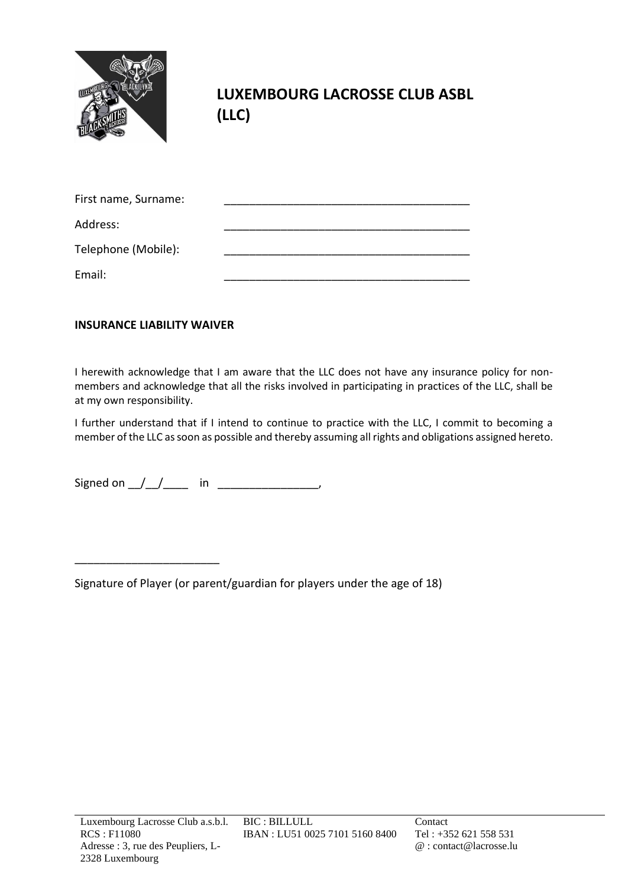

**LUXEMBOURG LACROSSE CLUB ASBL (LLC)**

| First name, Surname: |  |
|----------------------|--|
| Address:             |  |
| Telephone (Mobile):  |  |
| Email:               |  |

## **INSURANCE LIABILITY WAIVER**

\_\_\_\_\_\_\_\_\_\_\_\_\_\_\_\_\_\_\_\_\_\_\_

I herewith acknowledge that I am aware that the LLC does not have any insurance policy for nonmembers and acknowledge that all the risks involved in participating in practices of the LLC, shall be at my own responsibility.

I further understand that if I intend to continue to practice with the LLC, I commit to becoming a member of the LLC as soon as possible and thereby assuming all rights and obligations assigned hereto.

Signed on  $/$   $/$  in  $\blacksquare$ 

Signature of Player (or parent/guardian for players under the age of 18)